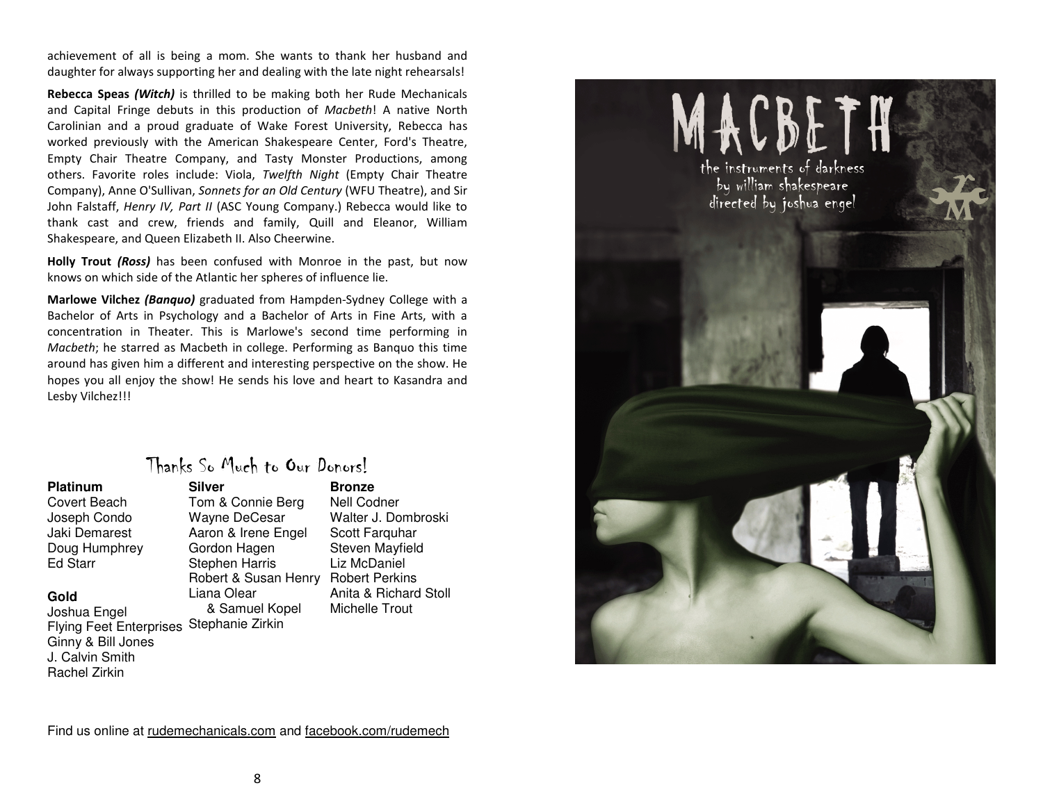achievement of all is being a mom. She wants to thank her husband and daughter for always supporting her and dealing with the late night rehearsals!

Rebecca Speas (Witch) is thrilled to be making both her Rude Mechanicals and Capital Fringe debuts in this production of Macbeth! A native North Carolinian and a proud graduate of Wake Forest University, Rebecca has worked previously with the American Shakespeare Center, Ford's Theatre, Empty Chair Theatre Company, and Tasty Monster Productions, among others. Favorite roles include: Viola, Twelfth Night (Empty Chair Theatre Company), Anne O'Sullivan, Sonnets for an Old Century (WFU Theatre), and Sir John Falstaff, Henry IV, Part II (ASC Young Company.) Rebecca would like to thank cast and crew, friends and family, Quill and Eleanor, William Shakespeare, and Queen Elizabeth II. Also Cheerwine.

Holly Trout *(Ross)* has been confused with Monroe in the past, but now knows on which side of the Atlantic her spheres of influence lie.

Marlowe Vilchez (Banquo) graduated from Hampden-Sydney College with a Bachelor of Arts in Psychology and a Bachelor of Arts in Fine Arts, with a concentration in Theater. This is Marlowe's second time performing in Macbeth; he starred as Macbeth in college. Performing as Banquo this time around has given him a different and interesting perspective on the show. He hopes you all enjoy the show! He sends his love and heart to Kasandra and Lesby Vilchez!!!

### Thanks So Much to Our Donors!

| <b>Platinum</b>                | Silver                |
|--------------------------------|-----------------------|
| Covert Beach                   | Tom & Connie Berg     |
| Joseph Condo                   | Wayne DeCesar         |
| Jaki Demarest                  | Aaron & Irene Engel   |
| Doug Humphrey                  | Gordon Hagen          |
| <b>Ed Starr</b>                | <b>Stephen Harris</b> |
|                                | Robert & Susan Hen    |
| Gold                           | Liana Olear           |
| Joshua Engel                   | & Samuel Kopel        |
| <b>Flying Feet Enterprises</b> | Stephanie Zirkin      |
| Ginny & Bill Jones             |                       |
| J. Calvin Smith                |                       |
| Rachel Zirkin                  |                       |

 **Bronze**Connie Berg Robert & Susan Henry Robert Perkins Nell Codner Walter J. Dombroski Scott Farquhar Steven Mayfield Liz McDaniel Anita & Richard Stoll Michelle Trout



Find us online at rudemechanicals.com and facebook.com/rudemech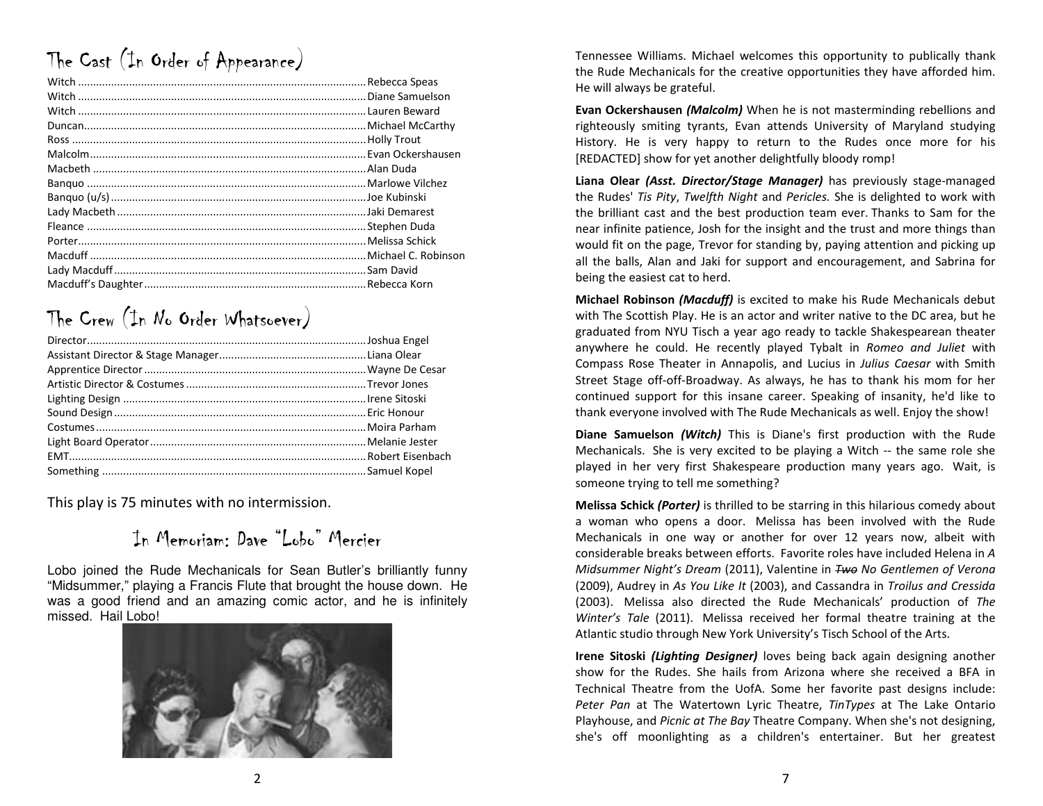# The Cast (In Order of Appearance)

## The Crew (In No Order Whatsoever)

This play is 75 minutes with no intermission.

### In Memoriam: Dave "Lobo" Mercier

Lobo joined the Rude Mechanicals for Sean Butler's brilliantly funny "Midsummer," playing a Francis Flute that brought the house down. He was a good friend and an amazing comic actor, and he is infinitely missed. Hail Lobo!



Tennessee Williams. Michael welcomes this opportunity to publically thank the Rude Mechanicals for the creative opportunities they have afforded him. He will always be grateful.

Evan Ockershausen (Malcolm) When he is not masterminding rebellions and righteously smiting tyrants, Evan attends University of Maryland studying History. He is very happy to return to the Rudes once more for his [REDACTED] show for yet another delightfully bloody romp!

Liana Olear *(Asst. Director/Stage Manager)* has previously stage-managed the Rudes' Tis Pity, Twelfth Night and Pericles. She is delighted to work with the brilliant cast and the best production team ever. Thanks to Sam for the near infinite patience, Josh for the insight and the trust and more things than would fit on the page, Trevor for standing by, paying attention and picking up all the balls, Alan and Jaki for support and encouragement, and Sabrina for being the easiest cat to herd.

Michael Robinson (Macduff) is excited to make his Rude Mechanicals debut with The Scottish Play. He is an actor and writer native to the DC area, but he graduated from NYU Tisch a year ago ready to tackle Shakespearean theater anywhere he could. He recently played Tybalt in Romeo and Juliet with Compass Rose Theater in Annapolis, and Lucius in Julius Caesar with Smith Street Stage off-off-Broadway. As always, he has to thank his mom for her continued support for this insane career. Speaking of insanity, he'd like to thank everyone involved with The Rude Mechanicals as well. Enjoy the show!

Diane Samuelson (Witch) This is Diane's first production with the Rude Mechanicals. She is very excited to be playing a Witch -- the same role she played in her very first Shakespeare production many years ago. Wait, is someone trying to tell me something?

Melissa Schick (Porter) is thrilled to be starring in this hilarious comedy about a woman who opens a door. Melissa has been involved with the Rude Mechanicals in one way or another for over 12 years now, albeit with considerable breaks between efforts. Favorite roles have included Helena in A Midsummer Night's Dream (2011), Valentine in Two No Gentlemen of Verona (2009), Audrey in As You Like It (2003), and Cassandra in Troilus and Cressida (2003). Melissa also directed the Rude Mechanicals' production of The Winter's Tale (2011). Melissa received her formal theatre training at the Atlantic studio through New York University's Tisch School of the Arts.

Irene Sitoski *(Lighting Designer)* loves being back again designing another show for the Rudes. She hails from Arizona where she received a BFA in Technical Theatre from the UofA. Some her favorite past designs include: Peter Pan at The Watertown Lyric Theatre, TinTypes at The Lake Ontario Playhouse, and Picnic at The Bay Theatre Company. When she's not designing, she's off moonlighting as a children's entertainer. But her greatest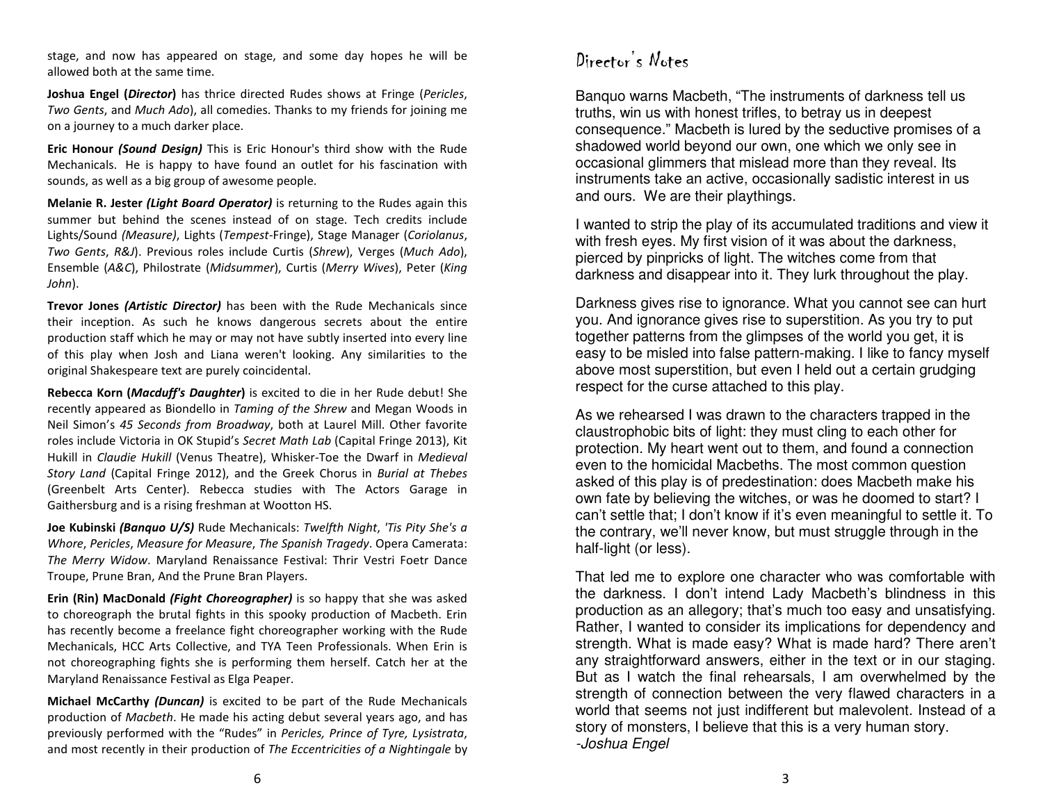stage, and now has appeared on stage, and some day hopes he will be allowed both at the same time.

Joshua Engel (Director) has thrice directed Rudes shows at Fringe (Pericles, Two Gents, and Much Ado), all comedies. Thanks to my friends for joining me on a journey to a much darker place.

**Eric Honour** *(Sound Design)* This is Eric Honour's third show with the Rude Mechanicals. He is happy to have found an outlet for his fascination with sounds, as well as a big group of awesome people.

Melanie R. Jester *(Light Board Operator)* is returning to the Rudes again this summer but behind the scenes instead of on stage. Tech credits include Lights/Sound (Measure), Lights (Tempest-Fringe), Stage Manager (Coriolanus, Two Gents, R&J). Previous roles include Curtis (Shrew), Verges (Much Ado), Ensemble (A&C), Philostrate (Midsummer), Curtis (Merry Wives), Peter (King John).

**Trevor Jones** *(Artistic Director)* has been with the Rude Mechanicals since their inception. As such he knows dangerous secrets about the entire production staff which he may or may not have subtly inserted into every line of this play when Josh and Liana weren't looking. Any similarities to the original Shakespeare text are purely coincidental.

Rebecca Korn (Macduff's Daughter) is excited to die in her Rude debut! She recently appeared as Biondello in Taming of the Shrew and Megan Woods in Neil Simon's 45 Seconds from Broadway, both at Laurel Mill. Other favorite roles include Victoria in OK Stupid's Secret Math Lab (Capital Fringe 2013), Kit Hukill in Claudie Hukill (Venus Theatre), Whisker-Toe the Dwarf in Medieval Story Land (Capital Fringe 2012), and the Greek Chorus in Burial at Thebes (Greenbelt Arts Center). Rebecca studies with The Actors Garage in Gaithersburg and is a rising freshman at Wootton HS.

Joe Kubinski (Banquo U/S) Rude Mechanicals: Twelfth Night, 'Tis Pity She's a Whore, Pericles, Measure for Measure, The Spanish Tragedy. Opera Camerata: The Merry Widow. Maryland Renaissance Festival: Thrir Vestri Foetr Dance Troupe, Prune Bran, And the Prune Bran Players.

**Erin (Rin) MacDonald** *(Fight Choreographer)* is so happy that she was asked to choreograph the brutal fights in this spooky production of Macbeth. Erin has recently become a freelance fight choreographer working with the Rude Mechanicals, HCC Arts Collective, and TYA Teen Professionals. When Erin is not choreographing fights she is performing them herself. Catch her at the Maryland Renaissance Festival as Elga Peaper.

**Michael McCarthy** *(Duncan)* is excited to be part of the Rude Mechanicals production of Macbeth. He made his acting debut several years ago, and has previously performed with the "Rudes" in Pericles, Prince of Tyre, Lysistrata, and most recently in their production of The Eccentricities of a Nightingale by Banquo warns Macbeth, "The instruments of darkness tell us truths, win us with honest trifles, to betray us in deepest consequence." Macbeth is lured by the seductive promises of a shadowed world beyond our own, one which we only see in occasional glimmers that mislead more than they reveal. Its instruments take an active, occasionally sadistic interest in us and ours. We are their playthings.

I wanted to strip the play of its accumulated traditions and view it with fresh eyes. My first vision of it was about the darkness, pierced by pinpricks of light. The witches come from that darkness and disappear into it. They lurk throughout the play.

Darkness gives rise to ignorance. What you cannot see can hurt you. And ignorance gives rise to superstition. As you try to put together patterns from the glimpses of the world you get, it is easy to be misled into false pattern-making. I like to fancy myself above most superstition, but even I held out a certain grudging respect for the curse attached to this play.

As we rehearsed I was drawn to the characters trapped in the claustrophobic bits of light: they must cling to each other for protection. My heart went out to them, and found a connection even to the homicidal Macbeths. The most common question asked of this play is of predestination: does Macbeth make his own fate by believing the witches, or was he doomed to start? I can't settle that; I don't know if it's even meaningful to settle it. To the contrary, we'll never know, but must struggle through in the half-light (or less).

That led me to explore one character who was comfortable with the darkness. I don't intend Lady Macbeth's blindness in this production as an allegory; that's much too easy and unsatisfying. Rather, I wanted to consider its implications for dependency and strength. What is made easy? What is made hard? There aren't any straightforward answers, either in the text or in our staging. But as I watch the final rehearsals, I am overwhelmed by the strength of connection between the very flawed characters in a world that seems not just indifferent but malevolent. Instead of a story of monsters, I believe that this is a very human story.-Joshua Engel